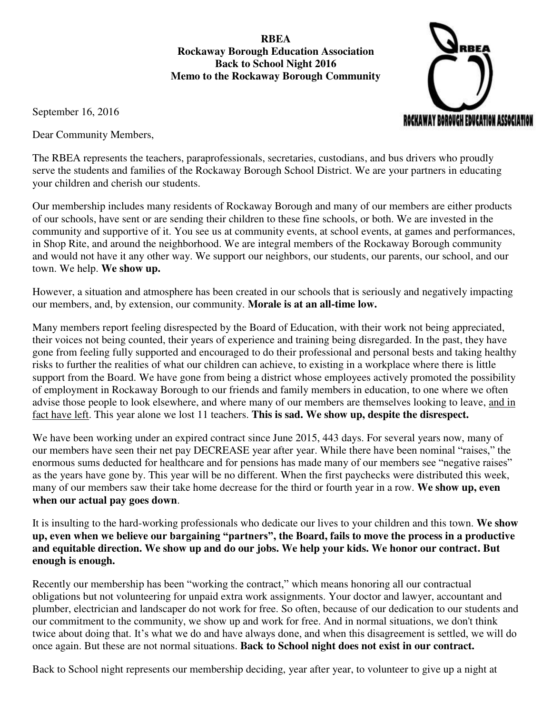**RBEA Rockaway Borough Education Association Back to School Night 2016 Memo to the Rockaway Borough Community** 

ROCKAWAY BOROUGH EDUCATION ASSOCIATI

September 16, 2016

Dear Community Members,

The RBEA represents the teachers, paraprofessionals, secretaries, custodians, and bus drivers who proudly serve the students and families of the Rockaway Borough School District. We are your partners in educating your children and cherish our students.

Our membership includes many residents of Rockaway Borough and many of our members are either products of our schools, have sent or are sending their children to these fine schools, or both. We are invested in the community and supportive of it. You see us at community events, at school events, at games and performances, in Shop Rite, and around the neighborhood. We are integral members of the Rockaway Borough community and would not have it any other way. We support our neighbors, our students, our parents, our school, and our town. We help. **We show up.**

However, a situation and atmosphere has been created in our schools that is seriously and negatively impacting our members, and, by extension, our community. **Morale is at an all-time low.**

Many members report feeling disrespected by the Board of Education, with their work not being appreciated, their voices not being counted, their years of experience and training being disregarded. In the past, they have gone from feeling fully supported and encouraged to do their professional and personal bests and taking healthy risks to further the realities of what our children can achieve, to existing in a workplace where there is little support from the Board. We have gone from being a district whose employees actively promoted the possibility of employment in Rockaway Borough to our friends and family members in education, to one where we often advise those people to look elsewhere, and where many of our members are themselves looking to leave, and in fact have left. This year alone we lost 11 teachers. **This is sad. We show up, despite the disrespect.**

We have been working under an expired contract since June 2015, 443 days. For several years now, many of our members have seen their net pay DECREASE year after year. While there have been nominal "raises," the enormous sums deducted for healthcare and for pensions has made many of our members see "negative raises" as the years have gone by. This year will be no different. When the first paychecks were distributed this week, many of our members saw their take home decrease for the third or fourth year in a row. **We show up, even when our actual pay goes down**.

It is insulting to the hard-working professionals who dedicate our lives to your children and this town. **We show up, even when we believe our bargaining "partners", the Board, fails to move the process in a productive and equitable direction. We show up and do our jobs. We help your kids. We honor our contract. But enough is enough.**

Recently our membership has been "working the contract," which means honoring all our contractual obligations but not volunteering for unpaid extra work assignments. Your doctor and lawyer, accountant and plumber, electrician and landscaper do not work for free. So often, because of our dedication to our students and our commitment to the community, we show up and work for free. And in normal situations, we don't think twice about doing that. It's what we do and have always done, and when this disagreement is settled, we will do once again. But these are not normal situations. **Back to School night does not exist in our contract.**

Back to School night represents our membership deciding, year after year, to volunteer to give up a night at